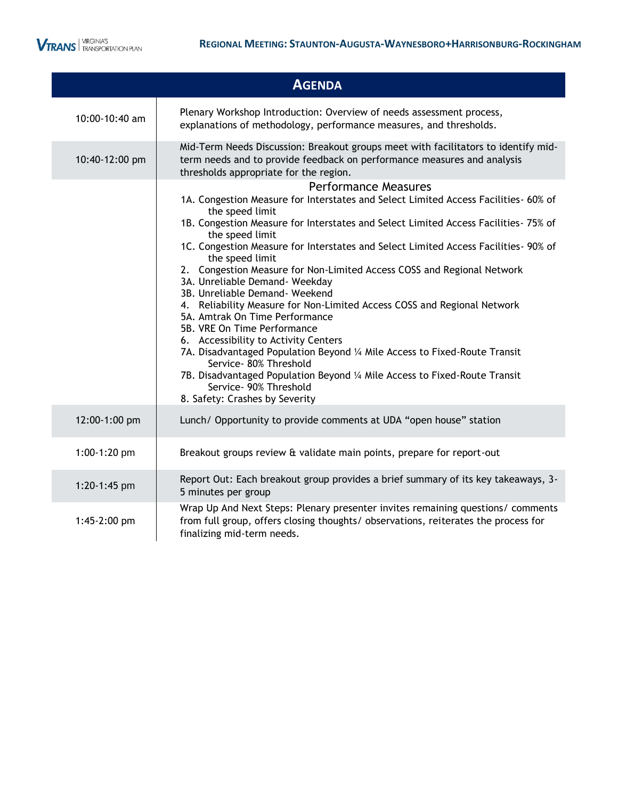ı

|                              | <b>AGENDA</b>                                                                                                                                                                                                                                                                                                                                                                                                                                                                                                                                                                                                                                                                                                                                                                                                                                                                                                                                 |
|------------------------------|-----------------------------------------------------------------------------------------------------------------------------------------------------------------------------------------------------------------------------------------------------------------------------------------------------------------------------------------------------------------------------------------------------------------------------------------------------------------------------------------------------------------------------------------------------------------------------------------------------------------------------------------------------------------------------------------------------------------------------------------------------------------------------------------------------------------------------------------------------------------------------------------------------------------------------------------------|
| 10:00-10:40 am               | Plenary Workshop Introduction: Overview of needs assessment process,<br>explanations of methodology, performance measures, and thresholds.                                                                                                                                                                                                                                                                                                                                                                                                                                                                                                                                                                                                                                                                                                                                                                                                    |
| 10:40-12:00 pm               | Mid-Term Needs Discussion: Breakout groups meet with facilitators to identify mid-<br>term needs and to provide feedback on performance measures and analysis<br>thresholds appropriate for the region.                                                                                                                                                                                                                                                                                                                                                                                                                                                                                                                                                                                                                                                                                                                                       |
|                              | <b>Performance Measures</b><br>1A. Congestion Measure for Interstates and Select Limited Access Facilities- 60% of<br>the speed limit<br>1B. Congestion Measure for Interstates and Select Limited Access Facilities- 75% of<br>the speed limit<br>1C. Congestion Measure for Interstates and Select Limited Access Facilities- 90% of<br>the speed limit<br>2. Congestion Measure for Non-Limited Access COSS and Regional Network<br>3A. Unreliable Demand- Weekday<br>3B. Unreliable Demand- Weekend<br>4. Reliability Measure for Non-Limited Access COSS and Regional Network<br>5A. Amtrak On Time Performance<br>5B. VRE On Time Performance<br>6. Accessibility to Activity Centers<br>7A. Disadvantaged Population Beyond 1/4 Mile Access to Fixed-Route Transit<br>Service- 80% Threshold<br>7B. Disadvantaged Population Beyond 1/4 Mile Access to Fixed-Route Transit<br>Service- 90% Threshold<br>8. Safety: Crashes by Severity |
| 12:00-1:00 pm                | Lunch/ Opportunity to provide comments at UDA "open house" station                                                                                                                                                                                                                                                                                                                                                                                                                                                                                                                                                                                                                                                                                                                                                                                                                                                                            |
| 1:00-1:20 pm                 | Breakout groups review & validate main points, prepare for report-out                                                                                                                                                                                                                                                                                                                                                                                                                                                                                                                                                                                                                                                                                                                                                                                                                                                                         |
| 1:20-1:45 pm<br>1:45-2:00 pm | Report Out: Each breakout group provides a brief summary of its key takeaways, 3-<br>5 minutes per group<br>Wrap Up And Next Steps: Plenary presenter invites remaining questions/ comments<br>from full group, offers closing thoughts/ observations, reiterates the process for<br>finalizing mid-term needs.                                                                                                                                                                                                                                                                                                                                                                                                                                                                                                                                                                                                                               |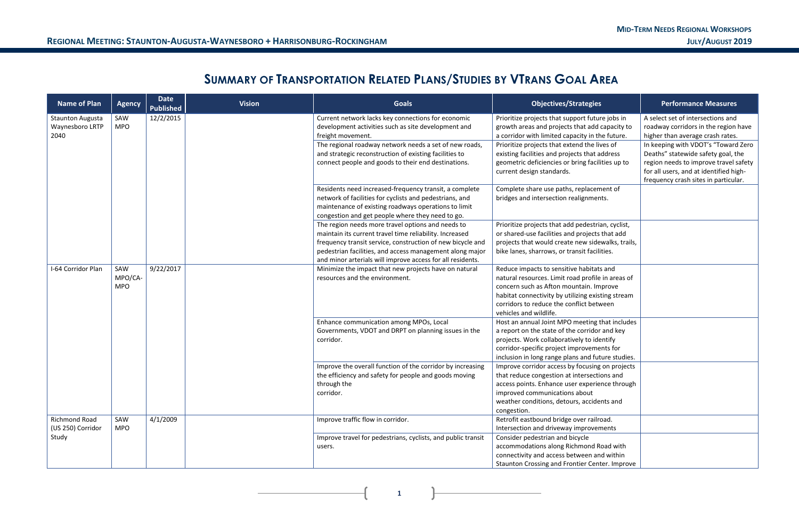**1**

## **SUMMARY OF TRANSPORTATION RELATED PLANS/STUDIES BY VTRANS GOAL AREA**

| <b>Name of Plan</b>                                | <b>Agency</b>                             | <b>Date</b><br><b>Published</b> | <b>Vision</b> | <b>Goals</b>                                                                                                                                                                                                                                                                                         | <b>Objectives/Strategies</b>                                                                                                                                                                                                                                        | <b>Performance Measures</b>                                                                                                                                                                          |
|----------------------------------------------------|-------------------------------------------|---------------------------------|---------------|------------------------------------------------------------------------------------------------------------------------------------------------------------------------------------------------------------------------------------------------------------------------------------------------------|---------------------------------------------------------------------------------------------------------------------------------------------------------------------------------------------------------------------------------------------------------------------|------------------------------------------------------------------------------------------------------------------------------------------------------------------------------------------------------|
| <b>Staunton Augusta</b><br>Waynesboro LRTP<br>2040 | SAW<br><b>MPO</b>                         | 12/2/2015                       |               | Current network lacks key connections for economic<br>development activities such as site development and<br>freight movement.                                                                                                                                                                       | Prioritize projects that support future jobs in<br>growth areas and projects that add capacity to<br>a corridor with limited capacity in the future.                                                                                                                | A select set of intersections and<br>roadway corridors in the region have<br>higher than average crash rates.                                                                                        |
|                                                    |                                           |                                 |               | The regional roadway network needs a set of new roads,<br>and strategic reconstruction of existing facilities to<br>connect people and goods to their end destinations.                                                                                                                              | Prioritize projects that extend the lives of<br>existing facilities and projects that address<br>geometric deficiencies or bring facilities up to<br>current design standards.                                                                                      | In keeping with VDOT's "Toward Zero<br>Deaths" statewide safety goal, the<br>region needs to improve travel safety<br>for all users, and at identified high-<br>frequency crash sites in particular. |
|                                                    |                                           |                                 |               | Residents need increased-frequency transit, a complete<br>network of facilities for cyclists and pedestrians, and<br>maintenance of existing roadways operations to limit<br>congestion and get people where they need to go.                                                                        | Complete share use paths, replacement of<br>bridges and intersection realignments.                                                                                                                                                                                  |                                                                                                                                                                                                      |
|                                                    |                                           |                                 |               | The region needs more travel options and needs to<br>maintain its current travel time reliability. Increased<br>frequency transit service, construction of new bicycle and<br>pedestrian facilities, and access management along major<br>and minor arterials will improve access for all residents. | Prioritize projects that add pedestrian, cyclist,<br>or shared-use facilities and projects that add<br>projects that would create new sidewalks, trails,<br>bike lanes, sharrows, or transit facilities.                                                            |                                                                                                                                                                                                      |
| I-64 Corridor Plan                                 | 9/22/2017<br>SAW<br>MPO/CA-<br><b>MPO</b> |                                 |               | Minimize the impact that new projects have on natural<br>resources and the environment.                                                                                                                                                                                                              | Reduce impacts to sensitive habitats and<br>natural resources. Limit road profile in areas of<br>concern such as Afton mountain. Improve<br>habitat connectivity by utilizing existing stream<br>corridors to reduce the conflict between<br>vehicles and wildlife. |                                                                                                                                                                                                      |
|                                                    |                                           |                                 |               | Enhance communication among MPOs, Local<br>Governments, VDOT and DRPT on planning issues in the<br>corridor.                                                                                                                                                                                         | Host an annual Joint MPO meeting that includes<br>a report on the state of the corridor and key<br>projects. Work collaboratively to identify<br>corridor-specific project improvements for<br>inclusion in long range plans and future studies.                    |                                                                                                                                                                                                      |
|                                                    |                                           |                                 |               | Improve the overall function of the corridor by increasing<br>the efficiency and safety for people and goods moving<br>through the<br>corridor.                                                                                                                                                      | Improve corridor access by focusing on projects<br>that reduce congestion at intersections and<br>access points. Enhance user experience through<br>improved communications about<br>weather conditions, detours, accidents and<br>congestion.                      |                                                                                                                                                                                                      |
| Richmond Road<br>(US 250) Corridor                 | SAW<br><b>MPO</b>                         | 4/1/2009                        |               | Improve traffic flow in corridor.                                                                                                                                                                                                                                                                    | Retrofit eastbound bridge over railroad.<br>Intersection and driveway improvements                                                                                                                                                                                  |                                                                                                                                                                                                      |
| Study                                              |                                           |                                 |               | Improve travel for pedestrians, cyclists, and public transit<br>users.                                                                                                                                                                                                                               | Consider pedestrian and bicycle<br>accommodations along Richmond Road with<br>connectivity and access between and within<br>Staunton Crossing and Frontier Center. Improve                                                                                          |                                                                                                                                                                                                      |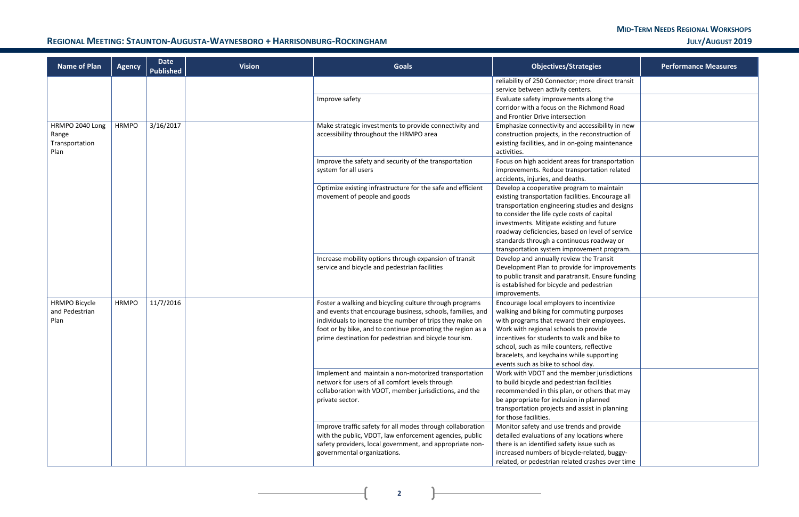$\overline{+}$ 

### REGIONAL MEETING: STAUNTON-AUGUSTA-WAYNESBORO + HARRISONBURG-ROCKINGHAM **WARGET AND THE STAUNT OF A STAUNTON-AUGUST** 2019

| <b>Name of Plan</b>                                | <b>Agency</b> | <b>Date</b><br><b>Published</b> | <b>Vision</b> | <b>Goals</b>                                                                                                                                                                                                                                                                                             | <b>Objectives/Strategies</b><br><b>Performance Measures</b>                                                                                                                                                                                                                                                                                                                                |  |  |
|----------------------------------------------------|---------------|---------------------------------|---------------|----------------------------------------------------------------------------------------------------------------------------------------------------------------------------------------------------------------------------------------------------------------------------------------------------------|--------------------------------------------------------------------------------------------------------------------------------------------------------------------------------------------------------------------------------------------------------------------------------------------------------------------------------------------------------------------------------------------|--|--|
|                                                    |               |                                 |               |                                                                                                                                                                                                                                                                                                          | reliability of 250 Connector; more direct transit<br>service between activity centers.                                                                                                                                                                                                                                                                                                     |  |  |
|                                                    |               |                                 |               | Improve safety                                                                                                                                                                                                                                                                                           | Evaluate safety improvements along the<br>corridor with a focus on the Richmond Road<br>and Frontier Drive intersection                                                                                                                                                                                                                                                                    |  |  |
| HRMPO 2040 Long<br>Range<br>Transportation<br>Plan | <b>HRMPO</b>  | 3/16/2017                       |               | Make strategic investments to provide connectivity and<br>accessibility throughout the HRMPO area                                                                                                                                                                                                        | Emphasize connectivity and accessibility in new<br>construction projects, in the reconstruction of<br>existing facilities, and in on-going maintenance<br>activities.                                                                                                                                                                                                                      |  |  |
|                                                    |               |                                 |               | Improve the safety and security of the transportation<br>system for all users                                                                                                                                                                                                                            | Focus on high accident areas for transportation<br>improvements. Reduce transportation related<br>accidents, injuries, and deaths.                                                                                                                                                                                                                                                         |  |  |
|                                                    |               |                                 |               | Optimize existing infrastructure for the safe and efficient<br>movement of people and goods                                                                                                                                                                                                              | Develop a cooperative program to maintain<br>existing transportation facilities. Encourage all<br>transportation engineering studies and designs<br>to consider the life cycle costs of capital<br>investments. Mitigate existing and future<br>roadway deficiencies, based on level of service<br>standards through a continuous roadway or<br>transportation system improvement program. |  |  |
|                                                    |               |                                 |               | Increase mobility options through expansion of transit<br>service and bicycle and pedestrian facilities                                                                                                                                                                                                  | Develop and annually review the Transit<br>Development Plan to provide for improvements<br>to public transit and paratransit. Ensure funding<br>is established for bicycle and pedestrian<br>improvements.                                                                                                                                                                                 |  |  |
| <b>HRMPO Bicycle</b><br>and Pedestrian<br>Plan     | <b>HRMPO</b>  | 11/7/2016                       |               | Foster a walking and bicycling culture through programs<br>and events that encourage business, schools, families, and<br>individuals to increase the number of trips they make on<br>foot or by bike, and to continue promoting the region as a<br>prime destination for pedestrian and bicycle tourism. | Encourage local employers to incentivize<br>walking and biking for commuting purposes<br>with programs that reward their employees.<br>Work with regional schools to provide<br>incentives for students to walk and bike to<br>school, such as mile counters, reflective<br>bracelets, and keychains while supporting<br>events such as bike to school day.                                |  |  |
|                                                    |               |                                 |               | Implement and maintain a non-motorized transportation<br>network for users of all comfort levels through<br>collaboration with VDOT, member jurisdictions, and the<br>private sector.                                                                                                                    | Work with VDOT and the member jurisdictions<br>to build bicycle and pedestrian facilities<br>recommended in this plan, or others that may<br>be appropriate for inclusion in planned<br>transportation projects and assist in planning<br>for those facilities.                                                                                                                            |  |  |
|                                                    |               |                                 |               | Improve traffic safety for all modes through collaboration<br>with the public, VDOT, law enforcement agencies, public<br>safety providers, local government, and appropriate non-<br>governmental organizations.                                                                                         | Monitor safety and use trends and provide<br>detailed evaluations of any locations where<br>there is an identified safety issue such as<br>increased numbers of bicycle-related, buggy-<br>related, or pedestrian related crashes over time                                                                                                                                                |  |  |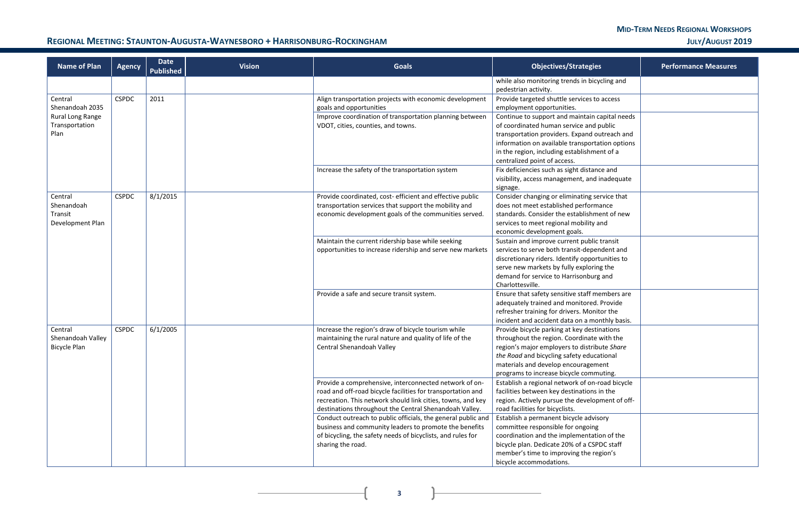**3**

 $\mathbf{R}$ 

 $\overline{+}$ 

### REGIONAL MEETING: STAUNTON-AUGUSTA-WAYNESBORO + HARRISONBURG-ROCKINGHAM **WARGET AND THE STAUNT OF A STAUNTON-AUGUST** 2019

| <b>Name of Plan</b>                                  | <b>Agency</b> | <b>Date</b><br><b>Published</b> | <b>Vision</b> | <b>Goals</b>                                                                                                                                                                                                                                   | <b>Objectives/Strategies</b>                                                                                                                                                                                                                                             | <b>Performance Measures</b> |
|------------------------------------------------------|---------------|---------------------------------|---------------|------------------------------------------------------------------------------------------------------------------------------------------------------------------------------------------------------------------------------------------------|--------------------------------------------------------------------------------------------------------------------------------------------------------------------------------------------------------------------------------------------------------------------------|-----------------------------|
|                                                      |               |                                 |               |                                                                                                                                                                                                                                                | while also monitoring trends in bicycling and<br>pedestrian activity.                                                                                                                                                                                                    |                             |
| Central<br>Shenandoah 2035                           | <b>CSPDC</b>  | 2011                            |               | Align transportation projects with economic development<br>goals and opportunities                                                                                                                                                             | Provide targeted shuttle services to access<br>employment opportunities.                                                                                                                                                                                                 |                             |
| Rural Long Range<br>Transportation<br>Plan           |               |                                 |               | Improve coordination of transportation planning between<br>VDOT, cities, counties, and towns.                                                                                                                                                  | Continue to support and maintain capital needs<br>of coordinated human service and public<br>transportation providers. Expand outreach and<br>information on available transportation options<br>in the region, including establishment of a                             |                             |
|                                                      |               |                                 |               | Increase the safety of the transportation system                                                                                                                                                                                               | centralized point of access.<br>Fix deficiencies such as sight distance and<br>visibility, access management, and inadequate<br>signage.                                                                                                                                 |                             |
| Central<br>Shenandoah<br>Transit<br>Development Plan | <b>CSPDC</b>  | 8/1/2015                        |               | Provide coordinated, cost-efficient and effective public<br>transportation services that support the mobility and<br>economic development goals of the communities served.                                                                     | Consider changing or eliminating service that<br>does not meet established performance<br>standards. Consider the establishment of new<br>services to meet regional mobility and<br>economic development goals.                                                          |                             |
|                                                      |               |                                 |               | Maintain the current ridership base while seeking<br>opportunities to increase ridership and serve new markets                                                                                                                                 | Sustain and improve current public transit<br>services to serve both transit-dependent and<br>discretionary riders. Identify opportunities to<br>serve new markets by fully exploring the<br>demand for service to Harrisonburg and<br>Charlottesville.                  |                             |
|                                                      |               |                                 |               | Provide a safe and secure transit system.                                                                                                                                                                                                      | Ensure that safety sensitive staff members are<br>adequately trained and monitored. Provide<br>refresher training for drivers. Monitor the<br>incident and accident data on a monthly basis.                                                                             |                             |
| Central<br>Shenandoah Valley<br>Bicycle Plan         | <b>CSPDC</b>  | 6/1/2005                        |               | Increase the region's draw of bicycle tourism while<br>maintaining the rural nature and quality of life of the<br>Central Shenandoah Valley                                                                                                    | Provide bicycle parking at key destinations<br>throughout the region. Coordinate with the<br>region's major employers to distribute Share<br>the Road and bicycling safety educational<br>materials and develop encouragement<br>programs to increase bicycle commuting. |                             |
|                                                      |               |                                 |               | Provide a comprehensive, interconnected network of on-<br>road and off-road bicycle facilities for transportation and<br>recreation. This network should link cities, towns, and key<br>destinations throughout the Central Shenandoah Valley. | Establish a regional network of on-road bicycle<br>facilities between key destinations in the<br>region. Actively pursue the development of off-<br>road facilities for bicyclists.                                                                                      |                             |
|                                                      |               |                                 |               | Conduct outreach to public officials, the general public and<br>business and community leaders to promote the benefits<br>of bicycling, the safety needs of bicyclists, and rules for<br>sharing the road.                                     | Establish a permanent bicycle advisory<br>committee responsible for ongoing<br>coordination and the implementation of the<br>bicycle plan. Dedicate 20% of a CSPDC staff<br>member's time to improving the region's<br>bicycle accommodations.                           |                             |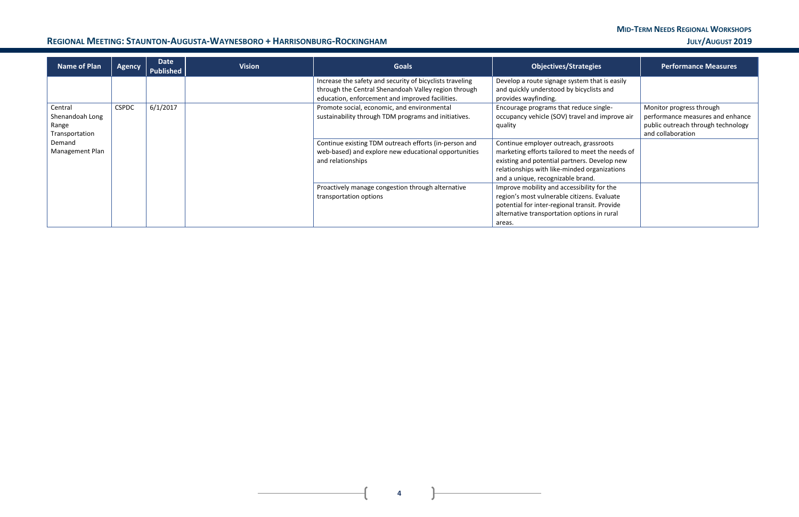### REGIONAL MEETING: STAUNTON-AUGUSTA-WAYNESBORO + HARRISONBURG-ROCKINGHAM **WARGET AND THE STAUNT OF A STAUNTON-AUGUST** 2019

| <b>Name of Plan</b> | <b>Agency</b> | Date<br><b>Published</b> | <b>Vision</b> | <b>Goals</b>                                                                                                     | <b>Objectives/Strategies</b>                                                              | <b>Performance Measures</b>        |
|---------------------|---------------|--------------------------|---------------|------------------------------------------------------------------------------------------------------------------|-------------------------------------------------------------------------------------------|------------------------------------|
|                     |               |                          |               | Increase the safety and security of bicyclists traveling<br>through the Central Shenandoah Valley region through | Develop a route signage system that is easily<br>and quickly understood by bicyclists and |                                    |
|                     |               |                          |               | education, enforcement and improved facilities.                                                                  | provides wayfinding.                                                                      |                                    |
| Central             | <b>CSPDC</b>  | 6/1/2017                 |               | Promote social, economic, and environmental                                                                      | Encourage programs that reduce single-                                                    | Monitor progress through           |
| Shenandoah Long     |               |                          |               | sustainability through TDM programs and initiatives.                                                             | occupancy vehicle (SOV) travel and improve air                                            | performance measures and enhance   |
| Range               |               |                          |               |                                                                                                                  | quality                                                                                   | public outreach through technology |
| Transportation      |               |                          |               |                                                                                                                  |                                                                                           | and collaboration                  |
| Demand              |               |                          |               | Continue existing TDM outreach efforts (in-person and                                                            | Continue employer outreach, grassroots                                                    |                                    |
| Management Plan     |               |                          |               | web-based) and explore new educational opportunities                                                             | marketing efforts tailored to meet the needs of                                           |                                    |
|                     |               |                          |               | and relationships                                                                                                | existing and potential partners. Develop new                                              |                                    |
|                     |               |                          |               |                                                                                                                  | relationships with like-minded organizations                                              |                                    |
|                     |               |                          |               |                                                                                                                  | and a unique, recognizable brand.                                                         |                                    |
|                     |               |                          |               | Proactively manage congestion through alternative                                                                | Improve mobility and accessibility for the                                                |                                    |
|                     |               |                          |               | transportation options                                                                                           | region's most vulnerable citizens. Evaluate                                               |                                    |
|                     |               |                          |               |                                                                                                                  | potential for inter-regional transit. Provide                                             |                                    |
|                     |               |                          |               |                                                                                                                  | alternative transportation options in rural                                               |                                    |
|                     |               |                          |               |                                                                                                                  | areas.                                                                                    |                                    |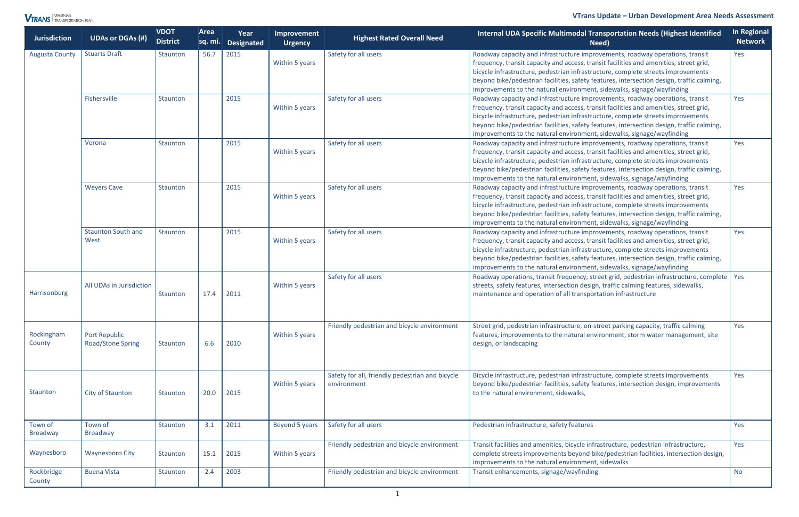#### **VTrans Update** *–* **Urban Development Area Needs Assessment**

| <b>Jurisdiction</b>        | <b>UDAs or DGAs (#)</b>                          | <b>VDOT</b><br><b>District</b> | Area<br>$ sq.$ mi. | Year<br>Designated | Improvement<br><b>Urgency</b> | <b>Highest Rated Overall Need</b>                              | <b>Internal UDA Specific Multimodal Transportation Needs (Highest Identified</b><br>Need)                                                                                                                                                                                                                                                                                                                                          | <b>In Regional</b><br><b>Network</b> |
|----------------------------|--------------------------------------------------|--------------------------------|--------------------|--------------------|-------------------------------|----------------------------------------------------------------|------------------------------------------------------------------------------------------------------------------------------------------------------------------------------------------------------------------------------------------------------------------------------------------------------------------------------------------------------------------------------------------------------------------------------------|--------------------------------------|
| <b>Augusta County</b>      | <b>Stuarts Draft</b>                             | Staunton                       | 56.7               | 2015               | Within 5 years                | Safety for all users                                           | Roadway capacity and infrastructure improvements, roadway operations, transit<br>frequency, transit capacity and access, transit facilities and amenities, street grid,<br>bicycle infrastructure, pedestrian infrastructure, complete streets improvements<br>beyond bike/pedestrian facilities, safety features, intersection design, traffic calming,<br>improvements to the natural environment, sidewalks, signage/wayfinding | Yes                                  |
|                            | Fishersville                                     | Staunton                       |                    | 2015               | Within 5 years                | Safety for all users                                           | Roadway capacity and infrastructure improvements, roadway operations, transit<br>frequency, transit capacity and access, transit facilities and amenities, street grid,<br>bicycle infrastructure, pedestrian infrastructure, complete streets improvements<br>beyond bike/pedestrian facilities, safety features, intersection design, traffic calming,<br>improvements to the natural environment, sidewalks, signage/wayfinding | Yes                                  |
|                            | Verona                                           | Staunton                       |                    | 2015               | Within 5 years                | Safety for all users                                           | Roadway capacity and infrastructure improvements, roadway operations, transit<br>frequency, transit capacity and access, transit facilities and amenities, street grid,<br>bicycle infrastructure, pedestrian infrastructure, complete streets improvements<br>beyond bike/pedestrian facilities, safety features, intersection design, traffic calming,<br>improvements to the natural environment, sidewalks, signage/wayfinding | Yes                                  |
|                            | <b>Weyers Cave</b>                               | Staunton                       |                    | 2015               | Within 5 years                | Safety for all users                                           | Roadway capacity and infrastructure improvements, roadway operations, transit<br>frequency, transit capacity and access, transit facilities and amenities, street grid,<br>bicycle infrastructure, pedestrian infrastructure, complete streets improvements<br>beyond bike/pedestrian facilities, safety features, intersection design, traffic calming,<br>improvements to the natural environment, sidewalks, signage/wayfinding | Yes                                  |
|                            | <b>Staunton South and</b><br>West                | Staunton                       |                    | 2015               | Within 5 years                | Safety for all users                                           | Roadway capacity and infrastructure improvements, roadway operations, transit<br>frequency, transit capacity and access, transit facilities and amenities, street grid,<br>bicycle infrastructure, pedestrian infrastructure, complete streets improvements<br>beyond bike/pedestrian facilities, safety features, intersection design, traffic calming,<br>improvements to the natural environment, sidewalks, signage/wayfinding | Yes                                  |
| Harrisonburg               | All UDAs in Jurisdiction                         | Staunton                       | 17.4               | 2011               | Within 5 years                | Safety for all users                                           | Roadway operations, transit frequency, street grid, pedestrian infrastructure, complete   Yes<br>streets, safety features, intersection design, traffic calming features, sidewalks,<br>maintenance and operation of all transportation infrastructure                                                                                                                                                                             |                                      |
| Rockingham<br>County       | <b>Port Republic</b><br><b>Road/Stone Spring</b> | Staunton                       | 6.6                | 2010               | Within 5 years                | Friendly pedestrian and bicycle environment                    | Street grid, pedestrian infrastructure, on-street parking capacity, traffic calming<br>features, improvements to the natural environment, storm water management, site<br>design, or landscaping                                                                                                                                                                                                                                   | Yes                                  |
| Staunton                   | City of Staunton                                 | Staunton                       | 20.0               | 2015               | Within 5 years                | Safety for all, friendly pedestrian and bicycle<br>environment | Bicycle infrastructure, pedestrian infrastructure, complete streets improvements<br>beyond bike/pedestrian facilities, safety features, intersection design, improvements<br>to the natural environment, sidewalks,                                                                                                                                                                                                                | Yes                                  |
| Town of<br><b>Broadway</b> | Town of<br><b>Broadway</b>                       | Staunton                       | 3.1                | 2011               | Beyond 5 years                | Safety for all users                                           | Pedestrian infrastructure, safety features                                                                                                                                                                                                                                                                                                                                                                                         | Yes                                  |
| Waynesboro                 | <b>Waynesboro City</b>                           | Staunton                       | 15.1               | 2015               | Within 5 years                | Friendly pedestrian and bicycle environment                    | Transit facilities and amenities, bicycle infrastructure, pedestrian infrastructure,<br>complete streets improvements beyond bike/pedestrian facilities, intersection design,<br>improvements to the natural environment, sidewalks                                                                                                                                                                                                | Yes                                  |
| Rockbridge<br>County       | <b>Buena Vista</b>                               | Staunton                       | 2.4                | 2003               |                               | Friendly pedestrian and bicycle environment                    | Transit enhancements, signage/wayfinding                                                                                                                                                                                                                                                                                                                                                                                           | <b>No</b>                            |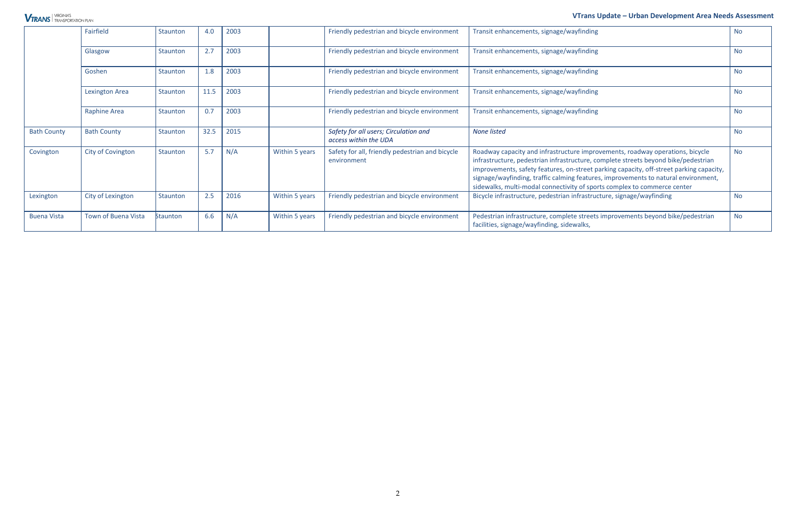#### **VTrans Update** *–* **Urban Development Area Needs Assessment**

|                    | Fairfield                  | Staunton        | 4.0  | 2003 |                | Friendly pedestrian and bicycle environment                    | Transit enhancements, signage/wayfinding                                                                                                                                                                                                                                                                                                                                                                                         | No.       |
|--------------------|----------------------------|-----------------|------|------|----------------|----------------------------------------------------------------|----------------------------------------------------------------------------------------------------------------------------------------------------------------------------------------------------------------------------------------------------------------------------------------------------------------------------------------------------------------------------------------------------------------------------------|-----------|
|                    | Glasgow                    | <b>Staunton</b> | 2.7  | 2003 |                | Friendly pedestrian and bicycle environment                    | Transit enhancements, signage/wayfinding                                                                                                                                                                                                                                                                                                                                                                                         | <b>No</b> |
|                    | Goshen                     | <b>Staunton</b> | 1.8  | 2003 |                | Friendly pedestrian and bicycle environment                    | Transit enhancements, signage/wayfinding                                                                                                                                                                                                                                                                                                                                                                                         | <b>No</b> |
|                    | <b>Lexington Area</b>      | <b>Staunton</b> | 11.5 | 2003 |                | Friendly pedestrian and bicycle environment                    | Transit enhancements, signage/wayfinding                                                                                                                                                                                                                                                                                                                                                                                         | <b>No</b> |
|                    | <b>Raphine Area</b>        | Staunton        | 0.7  | 2003 |                | Friendly pedestrian and bicycle environment                    | Transit enhancements, signage/wayfinding                                                                                                                                                                                                                                                                                                                                                                                         | <b>No</b> |
| <b>Bath County</b> | <b>Bath County</b>         | Staunton        | 32.5 | 2015 |                | Safety for all users; Circulation and<br>access within the UDA | None listed                                                                                                                                                                                                                                                                                                                                                                                                                      | <b>No</b> |
| Covington          | City of Covington          | Staunton        | 5.7  | N/A  | Within 5 years | Safety for all, friendly pedestrian and bicycle<br>environment | Roadway capacity and infrastructure improvements, roadway operations, bicycle<br>infrastructure, pedestrian infrastructure, complete streets beyond bike/pedestrian<br>improvements, safety features, on-street parking capacity, off-street parking capacity,<br>signage/wayfinding, traffic calming features, improvements to natural environment,<br>sidewalks, multi-modal connectivity of sports complex to commerce center | <b>No</b> |
| Lexington          | City of Lexington          | Staunton        | 2.5  | 2016 | Within 5 years | Friendly pedestrian and bicycle environment                    | Bicycle infrastructure, pedestrian infrastructure, signage/wayfinding                                                                                                                                                                                                                                                                                                                                                            | <b>No</b> |
| <b>Buena Vista</b> | <b>Town of Buena Vista</b> | <b>Staunton</b> | 6.6  | N/A  | Within 5 years | Friendly pedestrian and bicycle environment                    | Pedestrian infrastructure, complete streets improvements beyond bike/pedestrian<br>facilities, signage/wayfinding, sidewalks,                                                                                                                                                                                                                                                                                                    | <b>No</b> |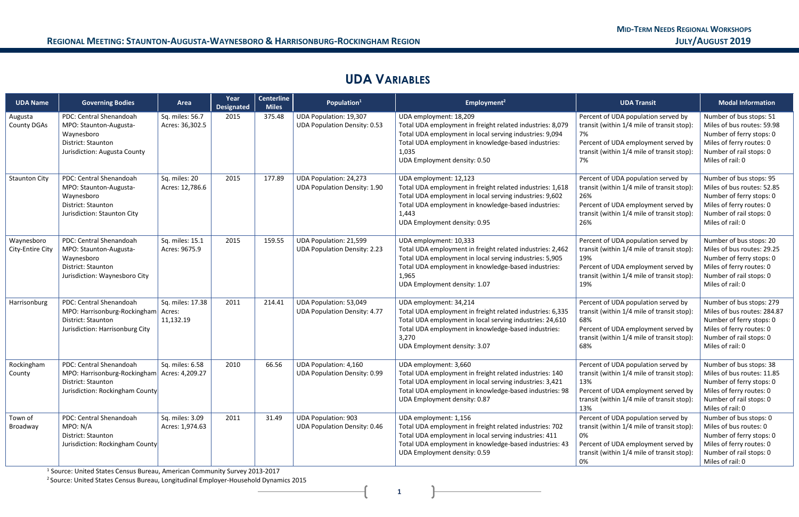## **UDA VARIABLES**

| <b>UDA Name</b>                | <b>Governing Bodies</b>                                                                                                | Area                                    | Year<br><b>Designated</b> | <b>Centerline</b><br><b>Miles</b> | Population <sup>1</sup>                                              | Employment <sup>2</sup>                                                                                                                                                                                                                         | <b>UDA Transit</b>                                                                                                                                                                   | <b>Modal Information</b>                                                                                                                                       |
|--------------------------------|------------------------------------------------------------------------------------------------------------------------|-----------------------------------------|---------------------------|-----------------------------------|----------------------------------------------------------------------|-------------------------------------------------------------------------------------------------------------------------------------------------------------------------------------------------------------------------------------------------|--------------------------------------------------------------------------------------------------------------------------------------------------------------------------------------|----------------------------------------------------------------------------------------------------------------------------------------------------------------|
| Augusta<br><b>County DGAs</b>  | PDC: Central Shenandoah<br>MPO: Staunton-Augusta-<br>Waynesboro<br>District: Staunton<br>Jurisdiction: Augusta County  | Sq. miles: 56.7<br>Acres: 36,302.5      | 2015                      | 375.48                            | <b>UDA Population: 19,307</b><br><b>UDA Population Density: 0.53</b> | UDA employment: 18,209<br>Total UDA employment in freight related industries: 8,079<br>Total UDA employment in local serving industries: 9,094<br>Total UDA employment in knowledge-based industries:<br>1,035<br>UDA Employment density: 0.50  | Percent of UDA population served by<br>transit (within 1/4 mile of transit stop):<br>7%<br>Percent of UDA employment served by<br>transit (within 1/4 mile of transit stop):<br>7%   | Number of bus stops: 51<br>Miles of bus routes: 59.98<br>Number of ferry stops: 0<br>Miles of ferry routes: 0<br>Number of rail stops: 0<br>Miles of rail: 0   |
| <b>Staunton City</b>           | PDC: Central Shenandoah<br>MPO: Staunton-Augusta-<br>Waynesboro<br>District: Staunton<br>Jurisdiction: Staunton City   | Sq. miles: 20<br>Acres: 12,786.6        | 2015                      | 177.89                            | <b>UDA Population: 24,273</b><br><b>UDA Population Density: 1.90</b> | UDA employment: 12,123<br>Total UDA employment in freight related industries: 1,618<br>Total UDA employment in local serving industries: 9,602<br>Total UDA employment in knowledge-based industries:<br>1,443<br>UDA Employment density: 0.95  | Percent of UDA population served by<br>transit (within 1/4 mile of transit stop):<br>26%<br>Percent of UDA employment served by<br>transit (within 1/4 mile of transit stop):<br>26% | Number of bus stops: 95<br>Miles of bus routes: 52.85<br>Number of ferry stops: 0<br>Miles of ferry routes: 0<br>Number of rail stops: 0<br>Miles of rail: 0   |
| Waynesboro<br>City-Entire City | PDC: Central Shenandoah<br>MPO: Staunton-Augusta-<br>Waynesboro<br>District: Staunton<br>Jurisdiction: Waynesboro City | Sq. miles: 15.1<br>Acres: 9675.9        | 2015                      | 159.55                            | <b>UDA Population: 21,599</b><br><b>UDA Population Density: 2.23</b> | UDA employment: 10,333<br>Total UDA employment in freight related industries: 2,462<br>Total UDA employment in local serving industries: 5,905<br>Total UDA employment in knowledge-based industries:<br>1,965<br>UDA Employment density: 1.07  | Percent of UDA population served by<br>transit (within 1/4 mile of transit stop):<br>19%<br>Percent of UDA employment served by<br>transit (within 1/4 mile of transit stop):<br>19% | Number of bus stops: 20<br>Miles of bus routes: 29.25<br>Number of ferry stops: 0<br>Miles of ferry routes: 0<br>Number of rail stops: 0<br>Miles of rail: 0   |
| Harrisonburg                   | PDC: Central Shenandoah<br>MPO: Harrisonburg-Rockingham<br>District: Staunton<br>Jurisdiction: Harrisonburg City       | Sq. miles: 17.38<br>Acres:<br>11,132.19 | 2011                      | 214.41                            | UDA Population: 53,049<br><b>UDA Population Density: 4.77</b>        | UDA employment: 34,214<br>Total UDA employment in freight related industries: 6,335<br>Total UDA employment in local serving industries: 24,610<br>Total UDA employment in knowledge-based industries:<br>3,270<br>UDA Employment density: 3.07 | Percent of UDA population served by<br>transit (within 1/4 mile of transit stop):<br>68%<br>Percent of UDA employment served by<br>transit (within 1/4 mile of transit stop):<br>68% | Number of bus stops: 279<br>Miles of bus routes: 284.87<br>Number of ferry stops: 0<br>Miles of ferry routes: 0<br>Number of rail stops: 0<br>Miles of rail: 0 |
| Rockingham<br>County           | PDC: Central Shenandoah<br>MPO: Harrisonburg-Rockingham<br>District: Staunton<br>Jurisdiction: Rockingham County       | Sq. miles: 6.58<br>Acres: 4,209.27      | 2010                      | 66.56                             | <b>UDA Population: 4,160</b><br><b>UDA Population Density: 0.99</b>  | UDA employment: 3,660<br>Total UDA employment in freight related industries: 140<br>Total UDA employment in local serving industries: 3,421<br>Total UDA employment in knowledge-based industries: 98<br>UDA Employment density: 0.87           | Percent of UDA population served by<br>transit (within 1/4 mile of transit stop)<br>13%<br>Percent of UDA employment served by<br>transit (within 1/4 mile of transit stop):<br>13%  | Number of bus stops: 38<br>Miles of bus routes: 11.85<br>Number of ferry stops: 0<br>Miles of ferry routes: 0<br>Number of rail stops: 0<br>Miles of rail: 0   |
| Town of<br>Broadway            | PDC: Central Shenandoah<br>MPO: N/A<br>District: Staunton<br>Jurisdiction: Rockingham County                           | Sq. miles: 3.09<br>Acres: 1,974.63      | 2011                      | 31.49                             | <b>UDA Population: 903</b><br><b>UDA Population Density: 0.46</b>    | UDA employment: 1,156<br>Total UDA employment in freight related industries: 702<br>Total UDA employment in local serving industries: 411<br>Total UDA employment in knowledge-based industries: 43<br>UDA Employment density: 0.59             | Percent of UDA population served by<br>transit (within 1/4 mile of transit stop):<br>0%<br>Percent of UDA employment served by<br>transit (within 1/4 mile of transit stop):<br>0%   | Number of bus stops: 0<br>Miles of bus routes: 0<br>Number of ferry stops: 0<br>Miles of ferry routes: 0<br>Number of rail stops: 0<br>Miles of rail: 0        |

<sup>1</sup> Source: United States Census Bureau, American Community Survey 2013-2017

<sup>2</sup> Source: United States Census Bureau, Longitudinal Employer-Household Dynamics 2015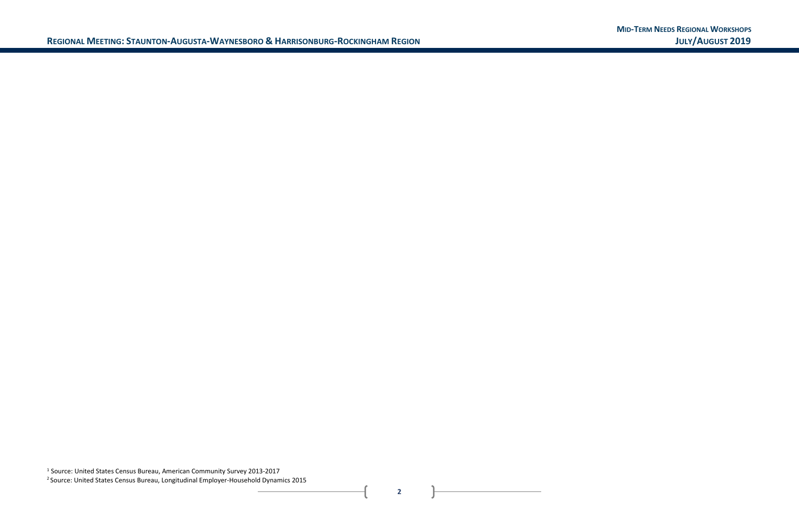<sup>1</sup> Source: United States Census Bureau, American Community Survey 2013-2017 <sup>2</sup> Source: United States Census Bureau, Longitudinal Employer-Household Dynamics 2015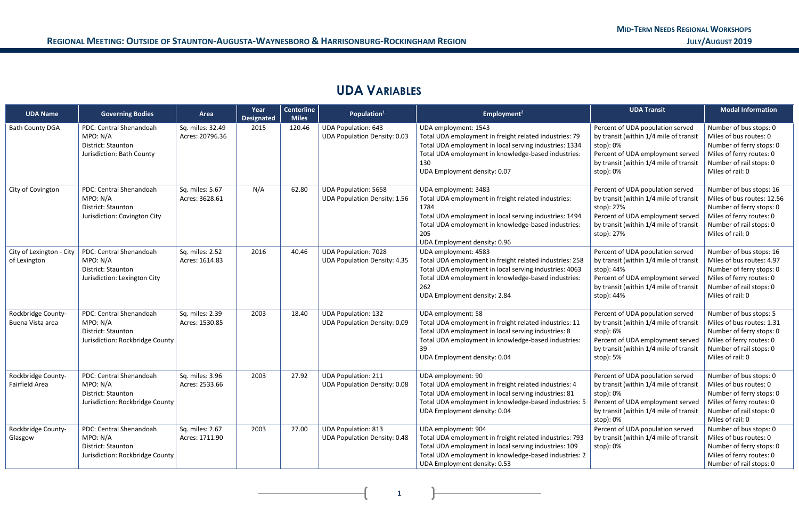## **UDA VARIABLES**

| <b>UDA Name</b>                          | <b>Governing Bodies</b>                                                                      | Area                                | Year<br><b>Designated</b> | <b>Centerline</b><br><b>Miles</b> | Population <sup>1</sup>                                            | Employment <sup>2</sup>                                                                                                                                                                                                                     | <b>UDA Transit</b>                                                                                                                                                                   | <b>Modal Information</b>                                                                                                                                     |
|------------------------------------------|----------------------------------------------------------------------------------------------|-------------------------------------|---------------------------|-----------------------------------|--------------------------------------------------------------------|---------------------------------------------------------------------------------------------------------------------------------------------------------------------------------------------------------------------------------------------|--------------------------------------------------------------------------------------------------------------------------------------------------------------------------------------|--------------------------------------------------------------------------------------------------------------------------------------------------------------|
| <b>Bath County DGA</b>                   | PDC: Central Shenandoah<br>MPO: N/A<br>District: Staunton<br>Jurisdiction: Bath County       | Sq. miles: 32.49<br>Acres: 20796.36 | 2015                      | 120.46                            | <b>UDA Population: 643</b><br><b>UDA Population Density: 0.03</b>  | UDA employment: 1543<br>Total UDA employment in freight related industries: 79<br>Total UDA employment in local serving industries: 1334<br>Total UDA employment in knowledge-based industries:<br>130<br>UDA Employment density: 0.07      | Percent of UDA population served<br>by transit (within 1/4 mile of transit<br>stop): 0%<br>Percent of UDA employment served<br>by transit (within 1/4 mile of transit<br>stop): 0%   | Number of bus stops: 0<br>Miles of bus routes: 0<br>Number of ferry stops: 0<br>Miles of ferry routes: 0<br>Number of rail stops: 0<br>Miles of rail: 0      |
| City of Covington                        | PDC: Central Shenandoah<br>MPO: N/A<br>District: Staunton<br>Jurisdiction: Covington City    | Sq. miles: 5.67<br>Acres: 3628.61   | N/A                       | 62.80                             | <b>UDA Population: 5658</b><br><b>UDA Population Density: 1.56</b> | UDA employment: 3483<br>Total UDA employment in freight related industries:<br>1784<br>Total UDA employment in local serving industries: 1494<br>Total UDA employment in knowledge-based industries:<br>205<br>UDA Employment density: 0.96 | Percent of UDA population served<br>by transit (within 1/4 mile of transit<br>stop): 27%<br>Percent of UDA employment served<br>by transit (within 1/4 mile of transit<br>stop): 27% | Number of bus stops: 16<br>Miles of bus routes: 12.56<br>Number of ferry stops: 0<br>Miles of ferry routes: 0<br>Number of rail stops: 0<br>Miles of rail: 0 |
| City of Lexington - City<br>of Lexington | PDC: Central Shenandoah<br>MPO: N/A<br>District: Staunton<br>Jurisdiction: Lexington City    | Sq. miles: 2.52<br>Acres: 1614.83   | 2016                      | 40.46                             | <b>UDA Population: 7028</b><br><b>UDA Population Density: 4.35</b> | UDA employment: 4583<br>Total UDA employment in freight related industries: 258<br>Total UDA employment in local serving industries: 4063<br>Total UDA employment in knowledge-based industries:<br>262<br>UDA Employment density: 2.84     | Percent of UDA population served<br>by transit (within 1/4 mile of transit<br>stop): 44%<br>Percent of UDA employment served<br>by transit (within 1/4 mile of transit<br>stop): 44% | Number of bus stops: 16<br>Miles of bus routes: 4.97<br>Number of ferry stops: 0<br>Miles of ferry routes: 0<br>Number of rail stops: 0<br>Miles of rail: 0  |
| Rockbridge County-<br>Buena Vista area   | PDC: Central Shenandoah<br>MPO: N/A<br>District: Staunton<br>Jurisdiction: Rockbridge County | Sq. miles: 2.39<br>Acres: 1530.85   | 2003                      | 18.40                             | <b>UDA Population: 132</b><br><b>UDA Population Density: 0.09</b>  | UDA employment: 58<br>Total UDA employment in freight related industries: 11<br>Total UDA employment in local serving industries: 8<br>Total UDA employment in knowledge-based industries:<br>39<br>UDA Employment density: 0.04            | Percent of UDA population served<br>by transit (within 1/4 mile of transit<br>stop): 6%<br>Percent of UDA employment served<br>by transit (within 1/4 mile of transit<br>stop): 5%   | Number of bus stops: 5<br>Miles of bus routes: 1.31<br>Number of ferry stops: 0<br>Miles of ferry routes: 0<br>Number of rail stops: 0<br>Miles of rail: 0   |
| Rockbridge County-<br>Fairfield Area     | PDC: Central Shenandoah<br>MPO: N/A<br>District: Staunton<br>Jurisdiction: Rockbridge County | Sq. miles: 3.96<br>Acres: 2533.66   | 2003                      | 27.92                             | <b>UDA Population: 211</b><br><b>UDA Population Density: 0.08</b>  | UDA employment: 90<br>Total UDA employment in freight related industries: 4<br>Total UDA employment in local serving industries: 81<br>Total UDA employment in knowledge-based industries: 5<br>UDA Employment density: 0.04                | Percent of UDA population served<br>by transit (within 1/4 mile of transit<br>stop): 0%<br>Percent of UDA employment served<br>by transit (within 1/4 mile of transit<br>stop): 0%   | Number of bus stops: 0<br>Miles of bus routes: 0<br>Number of ferry stops: 0<br>Miles of ferry routes: 0<br>Number of rail stops: 0<br>Miles of rail: 0      |
| Rockbridge County-<br>Glasgow            | PDC: Central Shenandoah<br>MPO: N/A<br>District: Staunton<br>Jurisdiction: Rockbridge County | Sq. miles: 2.67<br>Acres: 1711.90   | 2003                      | 27.00                             | <b>UDA Population: 813</b><br><b>UDA Population Density: 0.48</b>  | UDA employment: 904<br>Total UDA employment in freight related industries: 793<br>Total UDA employment in local serving industries: 109<br>Total UDA employment in knowledge-based industries: 2<br>UDA Employment density: 0.53            | Percent of UDA population served<br>by transit (within 1/4 mile of transit<br>stop): 0%                                                                                              | Number of bus stops: 0<br>Miles of bus routes: 0<br>Number of ferry stops: 0<br>Miles of ferry routes: 0<br>Number of rail stops: 0                          |

**1 1 1**